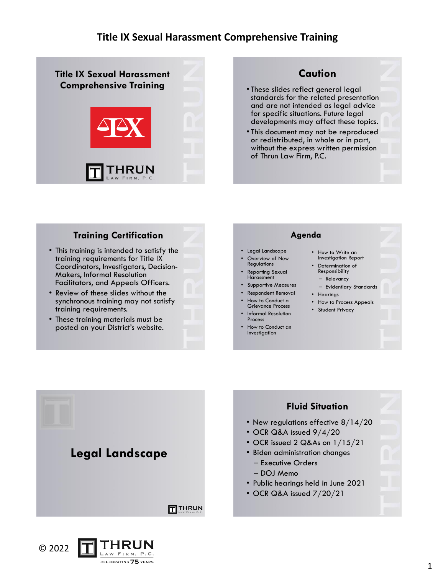

# **Caution**

- These slides reflect general legal standards for the related presentation and are not intended as legal advice for specific situations. Future legal developments may affect these topics.
- This document may not be reproduced or redistributed, in whole or in part, without the express written permission of Thrun Law Firm, P.C.

#### **Training Certification**

- This training is intended to satisfy the training requirements for Title IX Coordinators, Investigators, Decision-Makers, Informal Resolution Facilitators, and Appeals Officers.
- Review of these slides without the synchronous training may not satisfy training requirements.
- These training materials must be posted on your District's website.

#### **Agenda** • Legal Landscape Overview of New Regulations Reporting Sexual Harassment • Supportive Measures • Respondent Removal • How to Conduct a Grievance Process • Informal Resolution Process • How to Conduct an Investigation How to Write an Investigation Report • Determination of Responsibility – Relevancy – Evidentiary Standards • Hearings • How to Process Appeals • Student Privacy



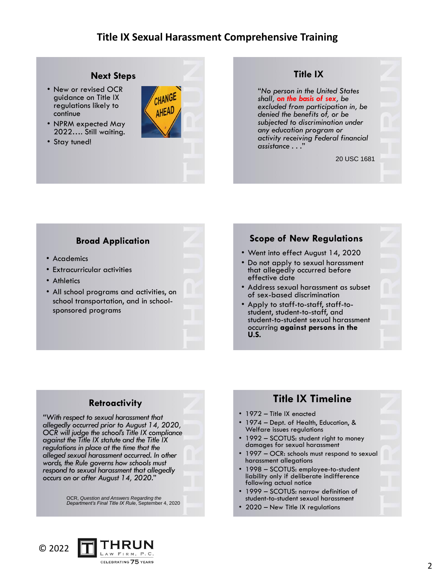#### **Next Steps**

- New or revised OCR guidance on Title IX regulations likely to continue
- NPRM expected May 2022…. Still waiting.
- Stay tuned!



#### **Title IX**

"*No person in the United States shall, on the basis of sex, be excluded from participation in, be denied the benefits of, or be subjected to discrimination under any education program or activity receiving Federal financial assistance . . .*"

20 USC 1681

#### **Broad Application**

- Academics
- Extracurricular activities
- Athletics
- All school programs and activities, on school transportation, and in schoolsponsored programs

# **Scope of New Regulations**

- Went into effect August 14, 2020
- Do not apply to sexual harassment that allegedly occurred before effective date
- Address sexual harassment as subset of sex-based discrimination
- Apply to staff-to-staff, staff-tostudent, student-to-staff, and student-to-student sexual harassment occurring **against persons in the U.S.**

#### **Retroactivity**

*"With respect to sexual harassment that allegedly occurred prior to August 14, 2020, OCR will judge the school's Title IX compliance against the Title IX statute and the Title IX regulations in place at the time that the alleged sexual harassment occurred. In other words, the Rule governs how schools must respond to sexual harassment that allegedly occurs on or after August 14, 2020.*"

OCR, *Question and Answers Regarding the Department's Final Title IX Rule*, September 4, 2020

# **Title IX Timeline**

- 1972 Title IX enacted
- 1974 Dept. of Health, Education, & Welfare issues regulations
- 1992 SCOTUS: student right to money damages for sexual harassment
- 1997 OCR: schools must respond to sexual harassment allegations
- 1998 SCOTUS: employee-to-student liability only if deliberate indifference following actual notice
- 1999 SCOTUS: narrow definition of student-to-student sexual harassment
- 2020 New Title IX regulations

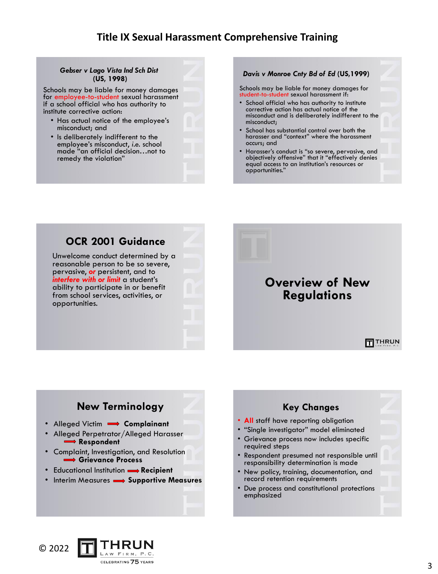#### *Gebser v Lago Vista Ind Sch Dist* **(US, 1998)**

Schools may be liable for money damages for employee-to-student sexual harassment if a school official who has authority to institute corrective action:

- Has actual notice of the employee's misconduct; and
- Is deliberately indifferent to the employee's misconduct, *i.e.* school made "an official decision…not to remedy the violation"

*Davis v Monroe Cnty Bd of Ed* **(US,1999)**

Schools may be liable for money damages for student-to-student sexual harassment if:

- School official who has authority to institute corrective action has actual notice of the misconduct and is deliberately indifferent to the misconduct;
- School has substantial control over both the harasser and "context" where the harassment occurs; and
- Harasser's conduct is "so severe, pervasive, and objectively offensive" that it "effectively denies equal access to an institution's resources or opportunities."



Unwelcome conduct determined by a reasonable person to be so severe, pervasive, *or* persistent, and to *interfere with or limit* a student's ability to participate in or benefit from school services, activities, or opportunities.

# **Overview of New Regulations**

THRUN

# **New Terminology**

- Alleged Victim  **Complainant**
- Alleged Perpetrator/Alleged Harasser **⇒ Respondent**
- Complaint, Investigation, and Resolution **Grievance Process**
- Educational Institution **->>>** Recipient
- Interim Measures **Supportive Measures**



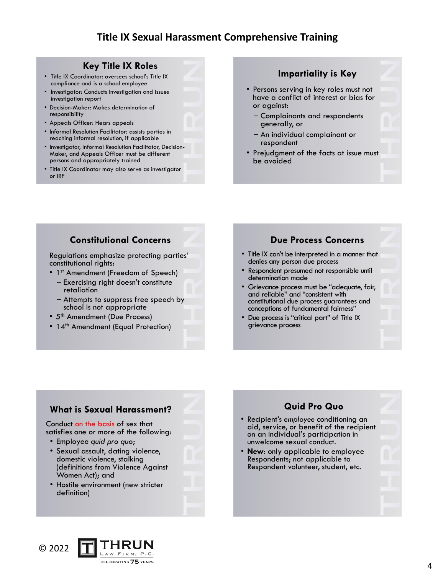#### **Key Title IX Roles**

- Title IX Coordinator: oversees school's Title IX compliance and is a school employee
- Investigator: Conducts investigation and issues investigation report
- Decision-Maker: Makes determination of responsibility
- Appeals Officer: Hears appeals
- Informal Resolution Facilitator: assists parties in reaching informal resolution, if applicable
- Investigator, Informal Resolution Facilitator, Decision-Maker, and Appeals Officer must be different persons and appropriately trained
- Title IX Coordinator may also serve as investigator or IRF

#### **Impartiality is Key**

- Persons serving in key roles must not have a conflict of interest or bias for or against:
	- Complainants and respondents generally, or
	- An individual complainant or respondent
- Prejudgment of the facts at issue must be avoided

#### **Constitutional Concerns**

Regulations emphasize protecting parties' constitutional rights:

- 1<sup>st</sup> Amendment (Freedom of Speech)
	- Exercising right doesn't constitute retaliation
	- Attempts to suppress free speech by school is not appropriate
- 5<sup>th</sup> Amendment (Due Process)
- 14<sup>th</sup> Amendment (Equal Protection)

#### **Due Process Concerns**

- Title IX can't be interpreted in a manner that denies any person due process
- Respondent presumed not responsible until determination made
- Grievance process must be "adequate, fair, and reliable" and "consistent with constitutional due process guarantees and conceptions of fundamental fairness"
- Due process is "critical part" of Title IX grievance process

### **What is Sexual Harassment?**

#### Conduct on the basis of sex that satisfies one or more of the following:

- Employee *quid pro quo*;
- Sexual assault, dating violence, domestic violence, stalking (definitions from Violence Against Women Act); and
- Hostile environment (new stricter definition)

# **Quid Pro Quo**

- Recipient's *employee* conditioning an aid, service, or benefit of the recipient on an individual's participation in unwelcome sexual conduct.
- **New**: only applicable to employee Respondents; not applicable to Respondent volunteer, student, etc.

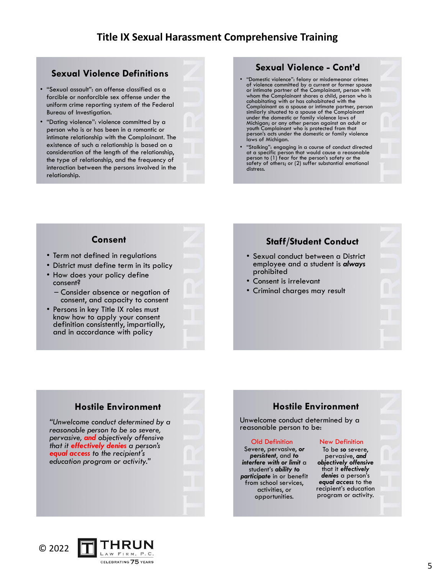### **Sexual Violence Definitions**

- "Sexual assault": an offense classified as a forcible or nonforcible sex offense under the uniform crime reporting system of the Federal Bureau of Investigation.
- "Dating violence": violence committed by a person who is or has been in a romantic or intimate relationship with the Complainant. The existence of such a relationship is based on a consideration of the length of the relationship, the type of relationship, and the frequency of interaction between the persons involved in the relationship.

### **Sexual Violence - Cont'd**

- "Domestic violence": felony or misdemeanor crimes of violence committed by a current or former spouse or intimate partner of the Complainant, person with whom the Complainant shares a child, person who is cohabitating with or has cohabitated with the Complainant as a spouse or intimate partner, person similarly situated to a spouse of the Complainant under the domestic or family violence laws of Michigan; or any other person against an adult or youth Complainant who is protected from that person's acts under the domestic or family violence laws of Michigan.
- "Stalking": engaging in a course of conduct directed at a specific person that would cause a reasonable person to (1) fear for the person's safety or the safety of others; or (2) suffer substantial emotional distress.

#### **Consent**

- Term not defined in regulations
- District must define term in its policy
- How does your policy define consent?
	- Consider absence or negation of consent, and capacity to consent

**Hostile Environment**

CELEBRATING 75 YEARS

*"Unwelcome conduct determined by a reasonable person to be so severe, pervasive, and objectively offensive that it effectively denies a person's equal access to the recipient's education program or activity."*

Persons in key Title IX roles must know how to apply your consent definition consistently, impartially, and in accordance with policy

#### **Staff/Student Conduct**

- Sexual conduct between a District employee and a student is *always* prohibited
- Consent is irrelevant
- Criminal charges may result

# **Hostile Environment**

Unwelcome conduct determined by a reasonable person to be:

#### Old Definition

Severe, pervasive, *or persistent*, and *to interfere with or limit* a student's *ability to participate* in or benefit from school services, activities, or opportunities.

#### New Definition

To be *so* severe, pervasive, *and objectively offensive* that it *effectively denies* a person's *equal access* to the recipient's education program or activity.

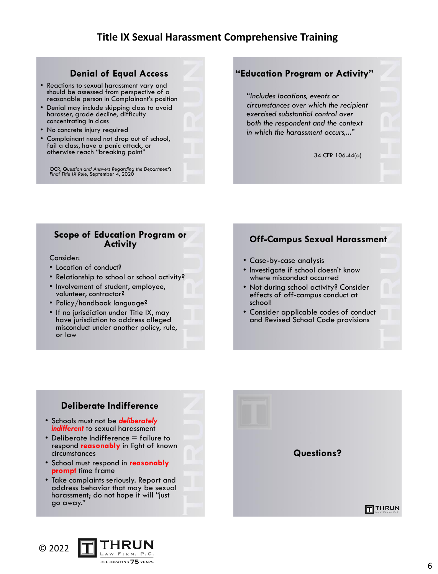#### **Denial of Equal Access**

- Reactions to sexual harassment vary and should be assessed from perspective of a reasonable person in Complainant's position
- Denial may include skipping class to avoid harasser, grade decline, difficulty concentrating in class
- No concrete injury required
- Complainant need not drop out of school, fail a class, have a panic attack, or otherwise reach "breaking point"

OCR, *Question and Answers Regarding the Department's Final Title IX Rule*, September 4, 2020

### **"Education Program or Activity"**

*"Includes locations, events or circumstances over which the recipient exercised substantial control over both the respondent and the context in which the harassment occurs,..."*

34 CFR 106.44(a)

#### **Scope of Education Program or Activity**

#### Consider:

- Location of conduct?
- Relationship to school or school activity?
- Involvement of student, employee, volunteer, contractor?
- Policy/handbook language?
- If no jurisdiction under Title IX, may have jurisdiction to address alleged misconduct under another policy, rule, or law

#### **Off-Campus Sexual Harassment**

- Case-by-case analysis
- Investigate if school doesn't know where misconduct occurred
- Not during school activity? Consider effects of off-campus conduct at school!
- Consider applicable codes of conduct and Revised School Code provisions

# **Deliberate Indifference**

- Schools must not be *deliberately indifferent* to sexual harassment
- Deliberate Indifference  $=$  failure to respond **reasonably** in light of known circumstances
- School must respond in **reasonably prompt** time frame
- Take complaints seriously. Report and address behavior that may be sexual harassment; do not hope it will "just go away."



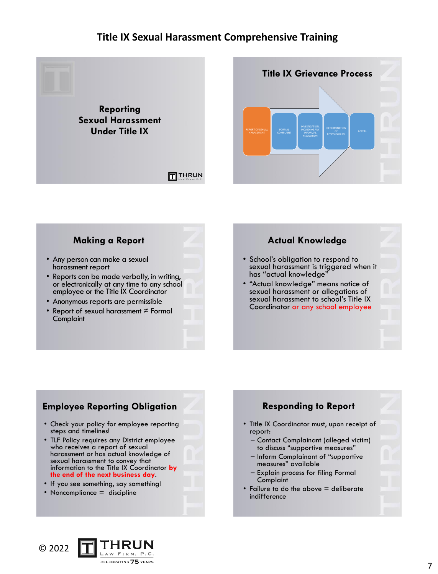



#### **Making a Report**

- Any person can make a sexual harassment report
- Reports can be made verbally, in writing, or electronically at any time to any school employee or the Title IX Coordinator
- Anonymous reports are permissible
- Report of sexual harassment  $\neq$  Formal **Complaint**

#### **Actual Knowledge**

- School's obligation to respond to sexual harassment is triggered when it has "actual knowledge"
- "Actual knowledge" means notice of sexual harassment or allegations of sexual harassment to school's Title IX Coordinator or any school employee

## **Employee Reporting Obligation**

- Check your policy for employee reporting steps and timelines!
- TLF Policy requires any District employee who receives a report of sexual harassment or has actual knowledge of sexual harassment to convey that information to the Title IX Coordinator **by the end of the next business day**.
- If you see something, say something!
- Noncompliance = discipline

#### **Responding to Report** • Title IX Coordinator must, upon receipt of report: – Contact Complainant (alleged victim) to discuss "supportive measures" – Inform Complainant of "supportive measures" available – Explain process for filing Formal Complaint • Failure to do the above = deliberate indifference

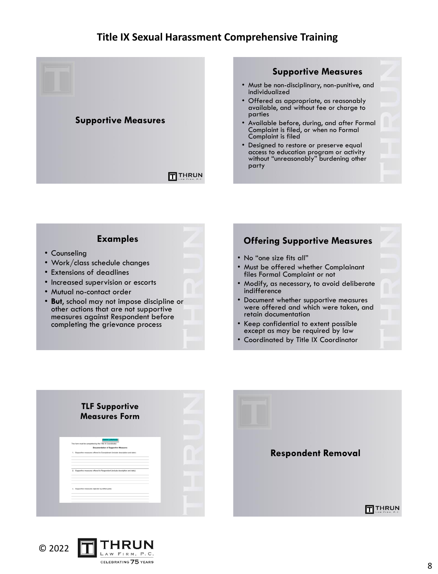

#### **Examples** • Counseling • Work/class schedule changes • Extensions of deadlines • Increased supervision or escorts • Mutual no-contact order • **But**, school may not impose discipline or other actions that are not supportive measures against Respondent before completing the grievance process **Offering Supportive Measures** • No "one size fits all" • Must be offered whether Complainant files Formal Complaint or not • Modify, as necessary, to avoid deliberate indifference • Document whether supportive measures were offered and which were taken, and retain documentation • Keep confidential to extent possible except as may be required by law • Coordinated by Title IX Coordinator



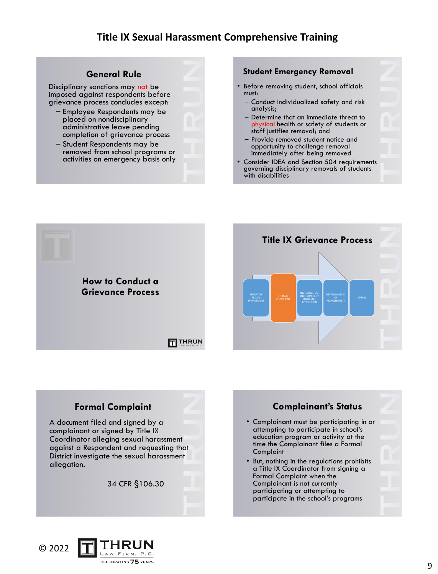#### **General Rule**

Disciplinary sanctions may not be imposed against respondents before grievance process concludes except:

- Employee Respondents may be placed on nondisciplinary administrative leave pending completion of grievance process
- Student Respondents may be removed from school programs or activities on emergency basis only

#### **Student Emergency Removal**

- Before removing student, school officials must:
	- Conduct individualized safety and risk analysis;
	- Determine that an immediate threat to physical health or safety of students or staff justifies removal; and
	- Provide removed student notice and opportunity to challenge removal immediately after being removed
- Consider IDEA and Section 504 requirements governing disciplinary removals of students with disabilities



### **Formal Complaint**

A document filed and signed by a complainant or signed by Title IX Coordinator alleging sexual harassment against a Respondent and requesting that District investigate the sexual harassment allegation.

34 CFR §106.30



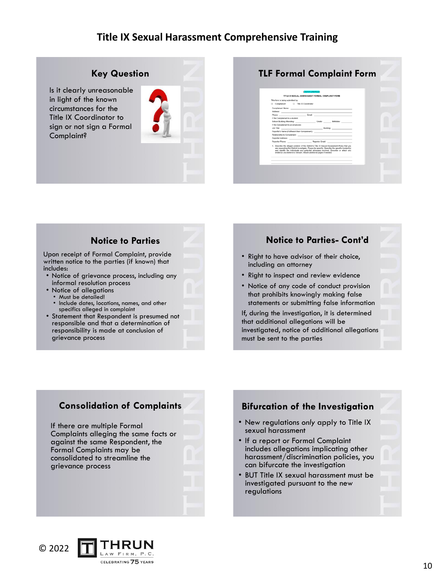#### **Key Question**

Is it clearly unreasonable in light of the known circumstances for the Title IX Coordinator to sign or not sign a Formal Complaint?



#### **TLF Formal Complaint Form**

#### **Notice to Parties**

Upon receipt of Formal Complaint, provide written notice to the parties (if known) that includes:

- Notice of grievance process, including any informal resolution process
- Notice of allegations
- Must be detailed!
- Include dates, locations, names, and other specifics alleged in complaint
- Statement that Respondent is presumed not responsible and that a determination of responsibility is made at conclusion of grievance process

#### **Notice to Parties- Cont'd**

- Right to have advisor of their choice, including an attorney
- Right to inspect and review evidence
- Notice of any code of conduct provision that prohibits knowingly making false statements or submitting false information

If, during the investigation, it is determined that additional allegations will be investigated, notice of additional allegations must be sent to the parties

#### **Consolidation of Complaints**

If there are multiple Formal Complaints alleging the same facts or against the same Respondent, the Formal Complaints may be consolidated to streamline the grievance process



**Bifurcation of the Investigation**

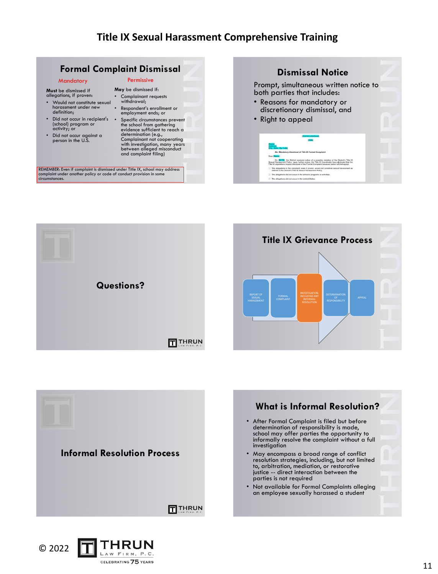#### **Formal Complaint Dismissal**

#### **Mandatory**

**Must** be dismissed if allegations, if proven:

- Would not constitute sexual harassment under new definition;
- Did not occur in recipient's (school) program or activity; or
- Did not occur against a person in the U.S.

#### Permissive **May** be dismissed if:

- Complainant requests withdrawal;
- Respondent's enrollment or employment ends; or
- Specific circumstances prevent the school from gathering evidence sufficient to reach a determination (e.g., Complainant not cooperating with investigation, many years between alleged misconduct and complaint filing)

REMEMBER: Even if complaint is dismissed under Title IX, school may address<br>complaint under another policy or code of conduct provision in some<br>circumstances.

# **Dismissal Notice** Prompt, simultaneous written notice to both parties that includes: • Reasons for mandatory or discretionary dismissal, and • Right to appeal The allegations in the complaint, even if proven, would not a<br>coloned in the Districts Title IV flowed interconnect Boliva





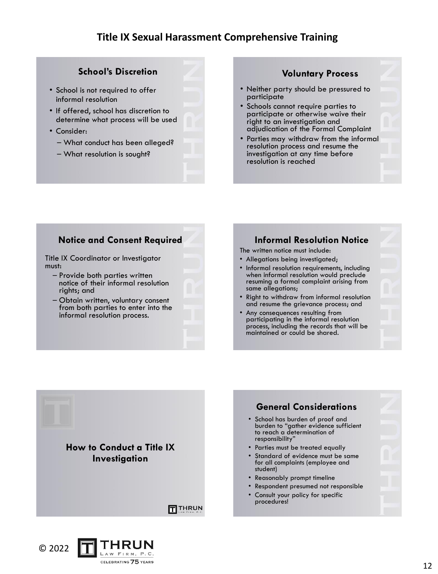#### **School's Discretion**

- School is not required to offer informal resolution
- If offered, school has discretion to determine what process will be used
- Consider:
	- What conduct has been alleged?
	- What resolution is sought?

#### **Voluntary Process**

- Neither party should be pressured to participate
- Schools cannot require parties to participate or otherwise waive their right to an investigation and adjudication of the Formal Complaint
- Parties may withdraw from the informal resolution process and resume the investigation at any time before resolution is reached

#### **Notice and Consent Required**

Title IX Coordinator or Investigator must:

- Provide both parties written notice of their informal resolution rights; and
- Obtain written, voluntary consent from both parties to enter into the informal resolution process.

LAW FIRM, P.C. CELEBRATING 75 YEARS

## **Informal Resolution Notice**

The written notice must include:

- Allegations being investigated;
- Informal resolution requirements, including when informal resolution would preclude resuming a formal complaint arising from same allegations;
- Right to withdraw from informal resolution and resume the grievance process; and
- Any consequences resulting from participating in the informal resolution process, including the records that will be maintained or could be shared.

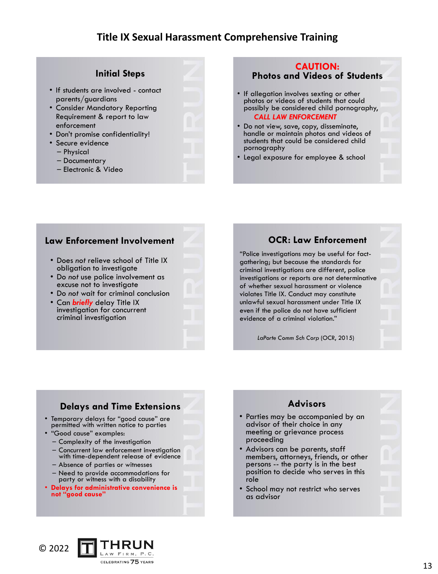#### **Initial Steps**

- If students are involved contact parents/guardians
- Consider Mandatory Reporting Requirement & report to law enforcement
- Don't promise confidentiality!
- Secure evidence
	- Physical
	- Documentary
	- Electronic & Video

#### **CAUTION: Photos and Videos of Students**

- If allegation involves sexting or other photos or videos of students that could possibly be considered child pornography, *CALL LAW ENFORCEMENT*
- Do not view, save, copy, disseminate, handle or maintain photos and videos of students that could be considered child pornography
- Legal exposure for employee & school

#### **Law Enforcement Involvement**

- Does *not* relieve school of Title IX obligation to investigate
- Do *not* use police involvement as excuse not to investigate
- Do *not* wait for criminal conclusion
- Can *briefly* delay Title IX investigation for concurrent criminal investigation

#### **OCR: Law Enforcement**

"Police investigations may be useful for factgathering; but because the standards for criminal investigations are different, police investigations or reports are not determinative of whether sexual harassment or violence violates Title IX. Conduct may constitute unlawful sexual harassment under Title IX even if the police do not have sufficient evidence of a criminal violation."

*LaPorte Comm Sch Corp* (OCR, 2015)

# **Delays and Time Extensions**

- Temporary delays for "good cause" are permitted with written notice to parties
- "Good cause" examples:
	- Complexity of the investigation
	- Concurrent law enforcement investigation with time-dependent release of evidence
	- Absence of parties or witnesses
	- Need to provide accommodations for party or witness with a disability
- **Delays for administrative convenience is not "good cause"**

## **Advisors**

- Parties may be accompanied by an advisor of their choice in any meeting or grievance process proceeding
- Advisors can be parents, staff members, attorneys, friends, or other persons -- the party is in the best position to decide who serves in this role
- School may not restrict who serves as advisor

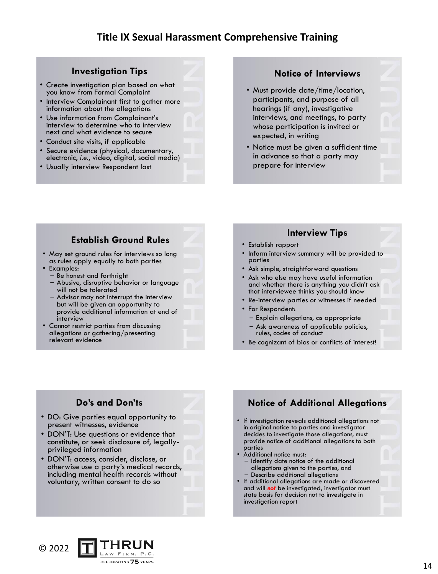#### **Investigation Tips**

- Create investigation plan based on what you know from Formal Complaint
- Interview Complainant first to gather more information about the allegations
- Use information from Complainant's interview to determine who to interview next and what evidence to secure
- Conduct site visits, if applicable
- Secure evidence (physical, documentary, electronic, *i.e.*, video, digital, social media)
- Usually interview Respondent last

#### **Notice of Interviews**

- Must provide date/time/location, participants, and purpose of all hearings (if any), investigative interviews, and meetings, to party whose participation is invited or expected, in writing
- Notice must be given a sufficient time in advance so that a party may prepare for interview

#### **Establish Ground Rules**

- May set ground rules for interviews so long as rules apply equally to both parties
- Examples:
	- Be honest and forthright
	- Abusive, disruptive behavior or language will not be tolerated
- Advisor may not interrupt the interview but will be given an opportunity to provide additional information at end of interview
- Cannot restrict parties from discussing allegations or gathering/presenting relevant evidence

#### **Interview Tips**

- Establish rapport
- Inform interview summary will be provided to parties
- Ask simple, straightforward questions
- Ask who else may have useful information and whether there is anything you didn't ask that interviewee thinks you should know
- Re-interview parties or witnesses if needed
- For Respondent:
	- Explain allegations, as appropriate
	- Ask awareness of applicable policies, rules, codes of conduct
- Be cognizant of bias or conflicts of interest!

### **Do's and Don'ts**

- DO: Give parties equal opportunity to present witnesses, evidence
- DON'T: Use questions or evidence that constitute, or seek disclosure of, legallyprivileged information
- DON'T: access, consider, disclose, or otherwise use a party's medical records, including mental health records without voluntary, written consent to do so

# **Notice of Additional Allegations**

- If investigation reveals additional allegations not in original notice to parties and investigator decides to investigate those allegations, must provide notice of additional allegations to both parties
- Additional notice must:
- Identify date notice of the additional allegations given to the parties, and – Describe additional allegations
- If additional allegations are made or discovered and will *not* be investigated, investigator must state basis for decision not to investigate in investigation report

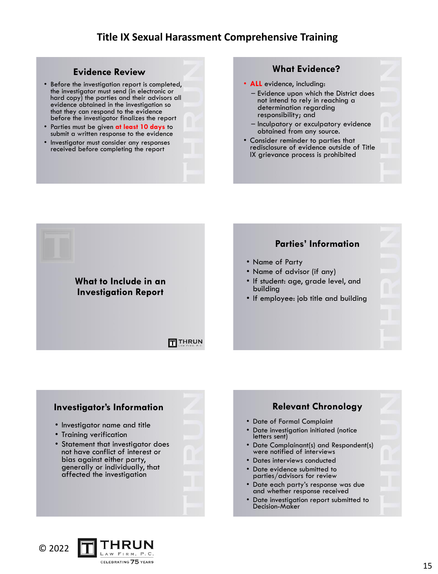#### **Evidence Review**

- Before the investigation report is completed, the investigator must send (in electronic or hard copy) the parties and their advisors all evidence obtained in the investigation so that they can respond to the evidence before the investigator finalizes the report
- Parties must be given **at least 10 days** to submit a written response to the evidence
- Investigator must consider any responses received before completing the report

#### **What Evidence?**

- **ALL** evidence, including:
	- Evidence upon which the District does not intend to rely in reaching a determination regarding responsibility; and
	- Inculpatory or exculpatory evidence obtained from any source.
- Consider reminder to parties that redisclosure of evidence outside of Title IX grievance process is prohibited

# **Parties' Information** • Name of Party • Name of advisor (if any) **What to Include in an**  • If student: age, grade level, and building **Investigation Report** • If employee: job title and building **FITHRUN**





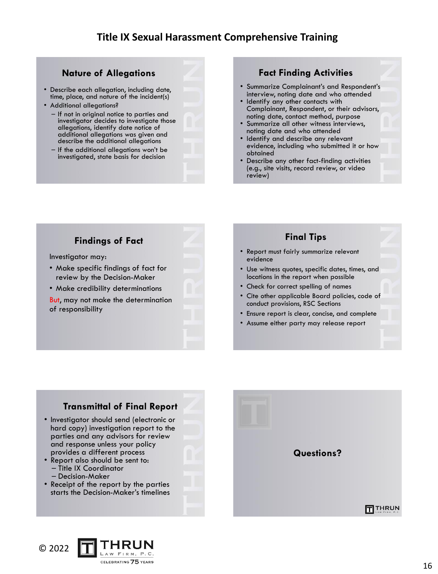#### **Nature of Allegations**

- Describe each allegation, including date, time, place, and nature of the incident(s)
- Additional allegations?
	- If not in original notice to parties and investigator decides to investigate those allegations, identify date notice of additional allegations was given and describe the additional allegations
	- If the additional allegations won't be investigated, state basis for decision

#### **Fact Finding Activities**

- Summarize Complainant's and Respondent's interview, noting date and who attended
- Identify any other contacts with Complainant, Respondent, or their advisors, noting date, contact method, purpose
- Summarize all other witness interviews, noting date and who attended
- Identify and describe any relevant evidence, including who submitted it or how obtained
- Describe any other fact-finding activities (e.g., site visits, record review, or video review)

### **Findings of Fact**

Investigator may:

- Make specific findings of fact for review by the Decision-Maker
- Make credibility determinations
- But, may not make the determination of responsibility



- Use witness quotes, specific dates, times, and locations in the report when possible
- Check for correct spelling of names

evidence

- Cite other applicable Board policies, code of conduct provisions, RSC Sections
- Ensure report is clear, concise, and complete
- Assume either party may release report

### **Transmittal of Final Report**

- Investigator should send (electronic or hard copy) investigation report to the parties and any advisors for review and response unless your policy provides a different process
- Report also should be sent to: – Title IX Coordinator
	- Decision-Maker
- Receipt of the report by the parties starts the Decision-Maker's timelines



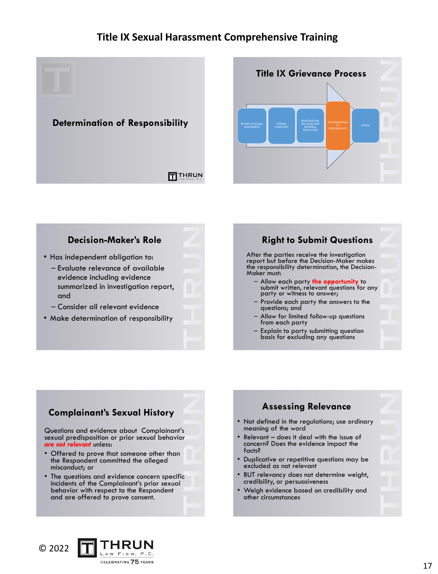



### **Decision-Maker's Role**

- Has independent obligation to: – Evaluate relevance of available evidence including evidence
	- summarized in investigation report, and
	- Consider all relevant evidence
- Make determination of responsibility

# **Right to Submit Questions**

After the parties receive the investigation report but before the Decision-Maker makes the responsibility determination, the Decision-Maker must:

- Allow each party **the opportunity** to submit written, relevant questions for any party or witness to answer;
- Provide each party the answers to the questions; and
- Allow for limited follow-up questions from each party
- Explain to party submitting question basis for excluding any questions

## **Complainant's Sexual History**

Questions and evidence about Complainant's sexual predisposition or prior sexual behavior *are not relevant* unless:

- Offered to prove that someone other than the Respondent committed the alleged misconduct; or
- The questions and evidence concern specific incidents of the Complainant's prior sexual behavior with respect to the Respondent and are offered to prove consent.



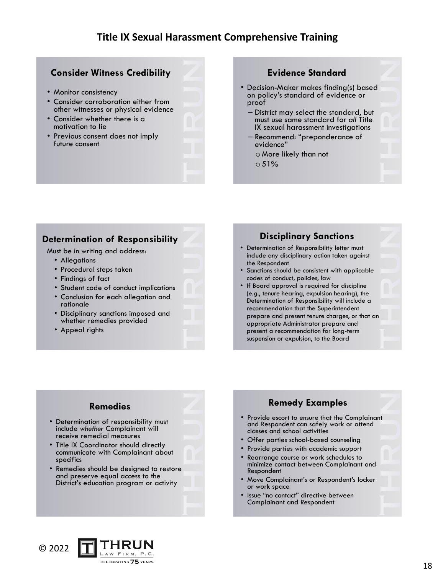#### **Consider Witness Credibility**

- Monitor consistency
- Consider corroboration either from other witnesses or physical evidence
- Consider whether there is a motivation to lie
- Previous consent does not imply future consent

#### **Evidence Standard**

- Decision-Maker makes finding(s) based on policy's standard of evidence or proof
	- District may select the standard, but must use same standard for *all* Title IX sexual harassment investigations
	- Recommend: "preponderance of evidence"
		- o More likely than not  $0.51%$

#### **Determination of Responsibility**

Must be in writing and address:

- Allegations
- Procedural steps taken
- Findings of fact
- Student code of conduct implications
- Conclusion for each allegation and rationale
- Disciplinary sanctions imposed and whether remedies provided
- Appeal rights

#### **Disciplinary Sanctions**

- Determination of Responsibility letter must include any disciplinary action taken against the Respondent
- Sanctions should be consistent with applicable codes of conduct, policies, law
- If Board approval is required for discipline (e.g., tenure hearing, expulsion hearing), the Determination of Responsibility will include a recommendation that the Superintendent prepare and present tenure charges, or that an appropriate Administrator prepare and present a recommendation for long-term suspension or expulsion, to the Board

### **Remedies**

- Determination of responsibility must include *whether* Complainant will receive remedial measures
- Title IX Coordinator should directly communicate with Complainant about specifics
- Remedies should be designed to restore and preserve equal access to the District's education program or activity



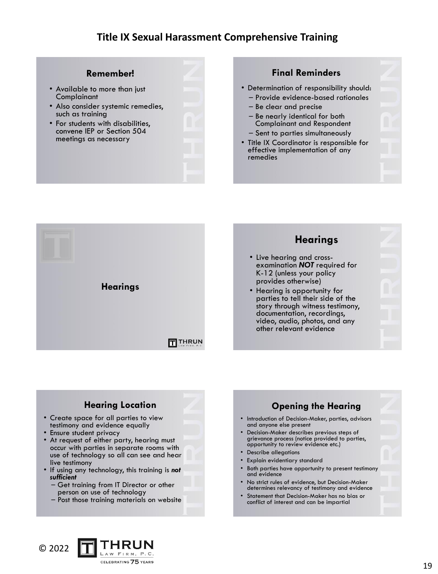#### **Remember!**

- Available to more than just **Complainant**
- Also consider systemic remedies, such as training
- For students with disabilities, convene IEP or Section 504 meetings as necessary

#### **Final Reminders**

- Determination of responsibility should:
- Provide evidence-based rationales
- Be clear and precise
- Be nearly identical for both Complainant and Respondent – Sent to parties simultaneously
- Title IX Coordinator is responsible for effective implementation of any remedies





## **Hearing Location**

- Create space for all parties to view testimony and evidence equally
- Ensure student privacy
- At request of either party, hearing must occur with parties in separate rooms with use of technology so all can see and hear live testimony
- If using any technology, this training is *not sufficient*
	- Get training from IT Director or other person on use of technology
	- Post those training materials on website



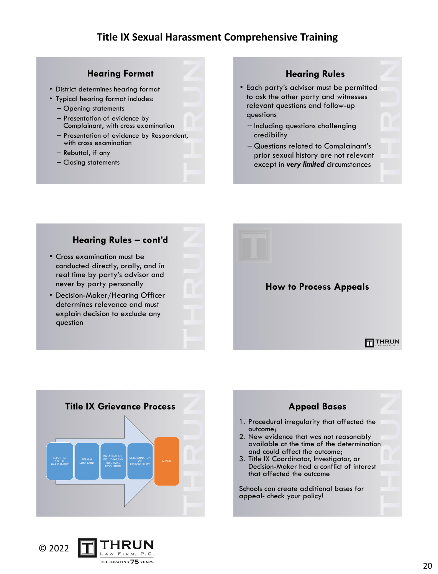#### **Hearing Format**

- District determines hearing format
- Typical hearing format includes:
	- Opening statements
	- Presentation of evidence by Complainant, with cross examination
	- Presentation of evidence by Respondent, with cross examination
	- Rebuttal, if any
	- Closing statements

#### **Hearing Rules**

- Each party's advisor must be permitted to ask the other party and witnesses relevant questions and follow-up questions
	- Including questions challenging credibility
	- Questions related to Complainant's prior sexual history are not relevant except in *very limited* circumstances

#### **Hearing Rules – cont'd**

- Cross examination must be conducted directly, orally, and in real time by party's advisor and never by party personally
- Decision-Maker/Hearing Officer determines relevance and must explain decision to exclude any question







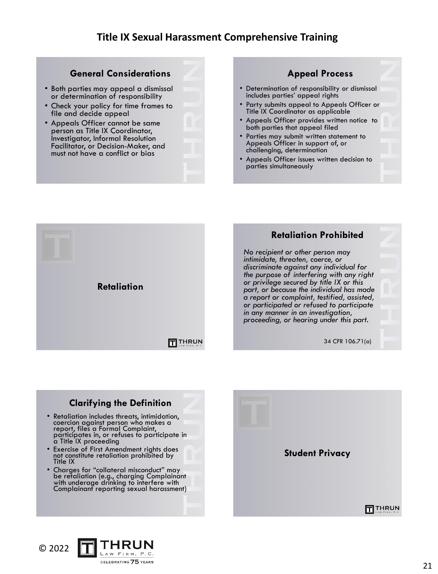#### **General Considerations**

- Both parties may appeal a dismissal or determination of responsibility
- Check your policy for time frames to file and decide appeal
- Appeals Officer cannot be same person as Title IX Coordinator, Investigator, Informal Resolution Facilitator, or Decision-Maker, and must not have a conflict or bias

#### **Appeal Process**

- Determination of responsibility or dismissal includes parties' appeal rights
- Party submits appeal to Appeals Officer or Title IX Coordinator as applicable
- Appeals Officer provides written notice to both parties that appeal filed
- Parties may submit written statement to Appeals Officer in support of, or challenging, determination
- Appeals Officer issues written decision to parties simultaneously



### **Clarifying the Definition**

- Retaliation includes threats, intimidation, coercion against person who makes a report, files a Formal Complaint, participates in, or refuses to participate in a Title IX proceeding
- Exercise of First Amendment rights does not constitute retaliation prohibited by Title IX
- Charges for "collateral misconduct" may be retaliation (e.g., charging Complainant with underage drinking to interfere with Complainant reporting sexual harassment)